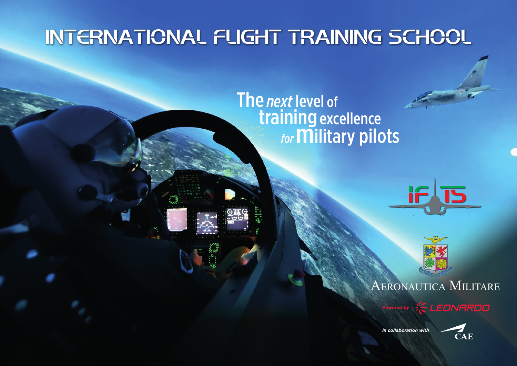# **INTERNATIONAL FLIGHT TRAINING SCHOOL**

## The *next* level of training excellence *for* **Military** pilots





### Aeronautica Militare



 $CAE$ 

*in collaboration with*